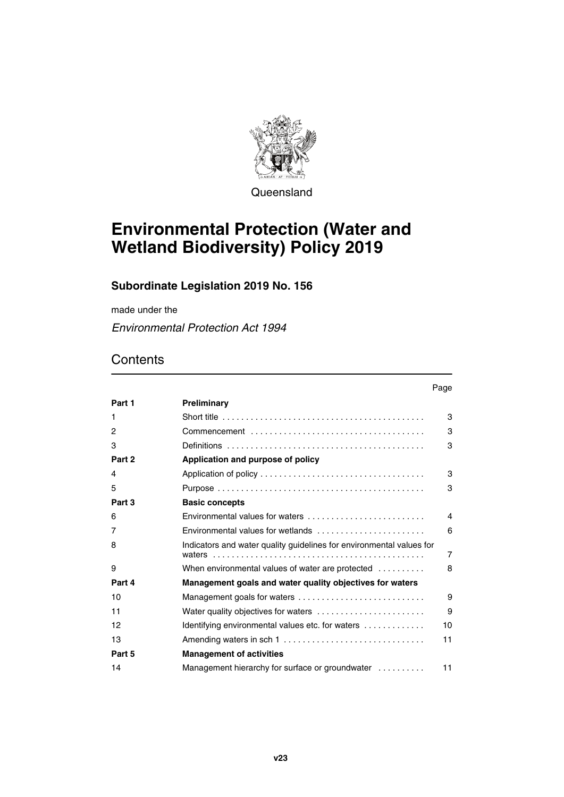

**Queensland** 

# **Environmental Protection (Water and Wetland Biodiversity) Policy 2019**

### **Subordinate Legislation 2019 No. 156**

made under the

*Environmental Protection Act 1994*

### **Contents**

|              |                                                                      | Page           |
|--------------|----------------------------------------------------------------------|----------------|
| Part 1       | Preliminary                                                          |                |
| 1            |                                                                      | 3              |
| $\mathbf{2}$ |                                                                      | 3              |
| 3            |                                                                      | 3              |
| Part 2       | Application and purpose of policy                                    |                |
| 4            |                                                                      | 3              |
| 5            |                                                                      | 3              |
| Part 3       | <b>Basic concepts</b>                                                |                |
| 6            | Environmental values for waters                                      | $\overline{4}$ |
| 7            |                                                                      | 6              |
| 8            | Indicators and water quality guidelines for environmental values for | $\overline{7}$ |
| 9            | When environmental values of water are protected                     | 8              |
| Part 4       | Management goals and water quality objectives for waters             |                |
| 10           | Management goals for waters                                          | 9              |
| 11           | Water quality objectives for waters                                  | 9              |
| 12           | Identifying environmental values etc. for waters                     | 10             |
| 13           | Amending waters in sch 1                                             | 11             |
| Part 5       | <b>Management of activities</b>                                      |                |
| 14           | Management hierarchy for surface or groundwater                      | 11             |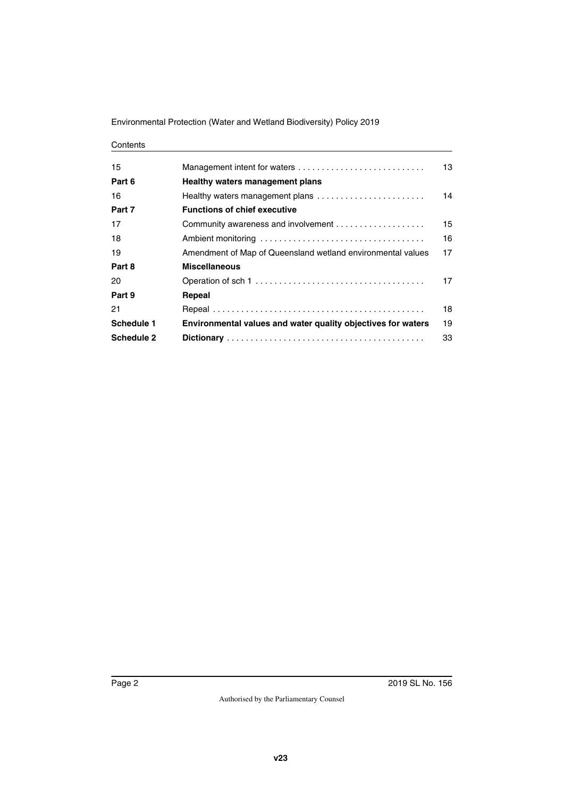Environmental Protection (Water and Wetland Biodiversity) Policy 2019

#### **Contents**

| 15         | Management intent for waters                                 | 13 |
|------------|--------------------------------------------------------------|----|
| Part 6     | Healthy waters management plans                              |    |
| 16         | Healthy waters management plans                              | 14 |
| Part 7     | <b>Functions of chief executive</b>                          |    |
| 17         |                                                              | 15 |
| 18         |                                                              | 16 |
| 19         | Amendment of Map of Queensland wetland environmental values  | 17 |
| Part 8     | <b>Miscellaneous</b>                                         |    |
| 20         |                                                              | 17 |
| Part 9     | Repeal                                                       |    |
| 21         |                                                              | 18 |
| Schedule 1 | Environmental values and water quality objectives for waters | 19 |
| Schedule 2 |                                                              | 33 |
|            |                                                              |    |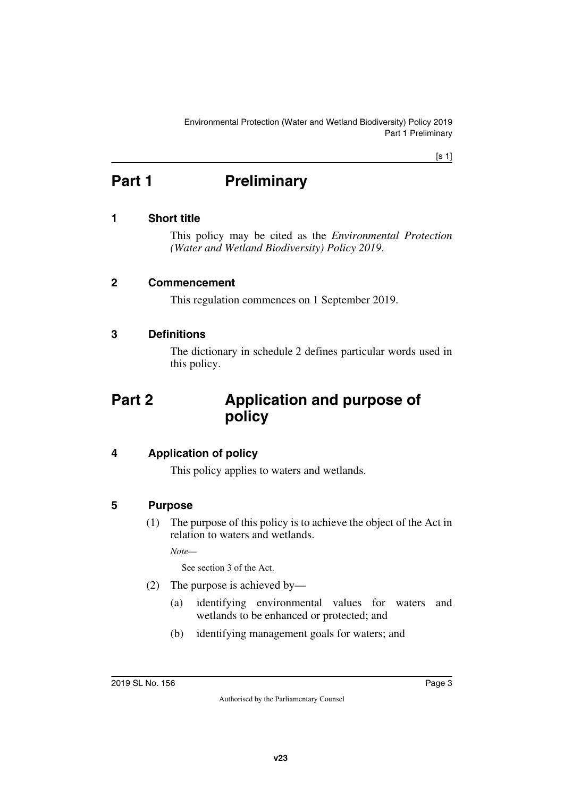[s 1]

# <span id="page-2-0"></span>**Part 1** Preliminary

#### <span id="page-2-2"></span>**1 Short title**

<span id="page-2-3"></span><span id="page-2-1"></span>This policy may be cited as the *Environmental Protection (Water and Wetland Biodiversity) Policy 2019*.

#### <span id="page-2-4"></span>**2 Commencement**

<span id="page-2-7"></span><span id="page-2-5"></span>This regulation commences on 1 September 2019.

#### <span id="page-2-6"></span>**3 Definitions**

<span id="page-2-9"></span>The dictionary in schedule 2 defines particular words used in this policy.

## <span id="page-2-8"></span>**Part 2 Application and purpose of policy**

#### <span id="page-2-10"></span>**4 Application of policy**

<span id="page-2-11"></span>This policy applies to waters and wetlands.

#### <span id="page-2-12"></span>**5 Purpose**

<span id="page-2-13"></span>(1) The purpose of this policy is to achieve the object of the Act in relation to waters and wetlands.

*Note—*

See section 3 of the Act.

- (2) The purpose is achieved by—
	- (a) identifying environmental values for waters and wetlands to be enhanced or protected; and
	- (b) identifying management goals for waters; and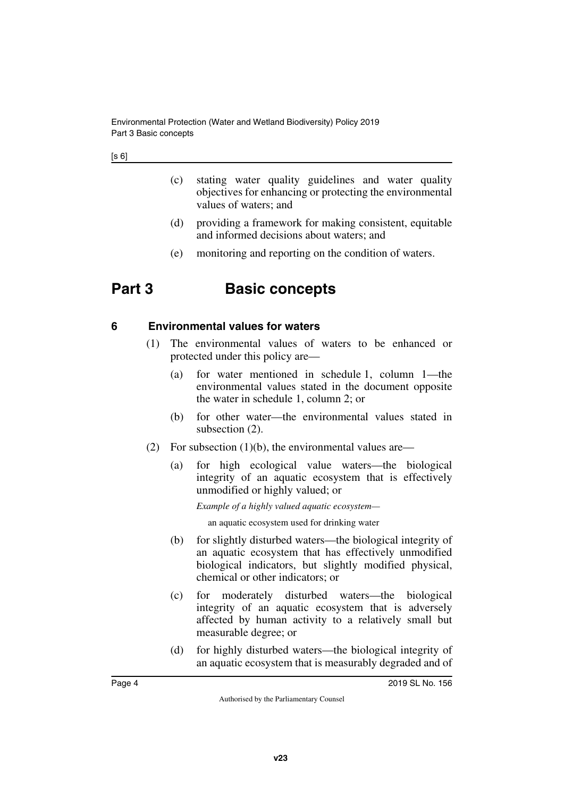- (c) stating water quality guidelines and water quality objectives for enhancing or protecting the environmental values of waters; and
- (d) providing a framework for making consistent, equitable and informed decisions about waters; and
- <span id="page-3-1"></span>(e) monitoring and reporting on the condition of waters.

# <span id="page-3-0"></span>**Part 3 Basic concepts**

#### <span id="page-3-2"></span>**6 Environmental values for waters**

- <span id="page-3-3"></span>(1) The environmental values of waters to be enhanced or protected under this policy are—
	- (a) for water mentioned in schedule 1, column 1—the environmental values stated in the document opposite the water in schedule 1, column 2; or
	- (b) for other water—the environmental values stated in subsection  $(2)$ .
- (2) For subsection  $(1)(b)$ , the environmental values are—
	- (a) for high ecological value waters—the biological integrity of an aquatic ecosystem that is effectively unmodified or highly valued; or

*Example of a highly valued aquatic ecosystem—*

an aquatic ecosystem used for drinking water

- (b) for slightly disturbed waters—the biological integrity of an aquatic ecosystem that has effectively unmodified biological indicators, but slightly modified physical, chemical or other indicators; or
- (c) for moderately disturbed waters—the biological integrity of an aquatic ecosystem that is adversely affected by human activity to a relatively small but measurable degree; or
- (d) for highly disturbed waters—the biological integrity of an aquatic ecosystem that is measurably degraded and of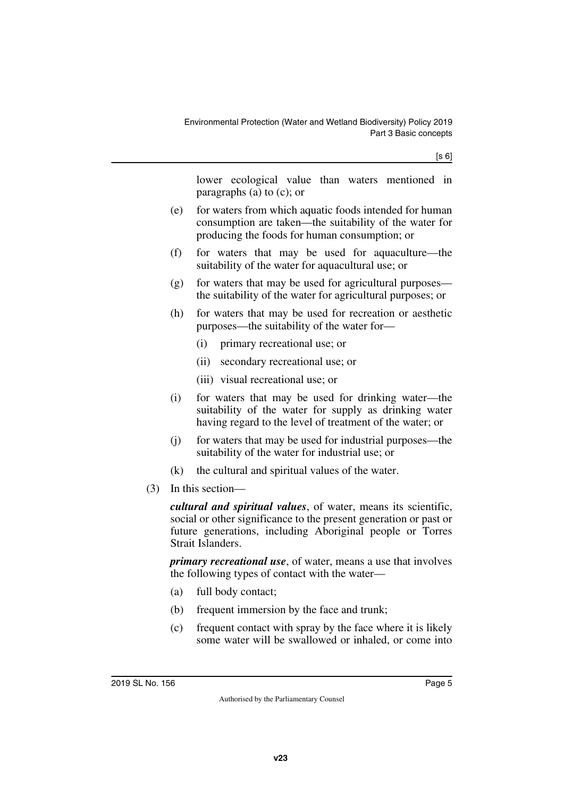lower ecological value than waters mentioned in paragraphs (a) to (c); or

- (e) for waters from which aquatic foods intended for human consumption are taken—the suitability of the water for producing the foods for human consumption; or
- (f) for waters that may be used for aquaculture—the suitability of the water for aquacultural use; or
- (g) for waters that may be used for agricultural purposes the suitability of the water for agricultural purposes; or
- (h) for waters that may be used for recreation or aesthetic purposes—the suitability of the water for—
	- (i) primary recreational use; or
	- (ii) secondary recreational use; or
	- (iii) visual recreational use; or
- (i) for waters that may be used for drinking water—the suitability of the water for supply as drinking water having regard to the level of treatment of the water; or
- (j) for waters that may be used for industrial purposes—the suitability of the water for industrial use; or
- (k) the cultural and spiritual values of the water.
- (3) In this section—

*cultural and spiritual values*, of water, means its scientific, social or other significance to the present generation or past or future generations, including Aboriginal people or Torres Strait Islanders.

*primary recreational use*, of water, means a use that involves the following types of contact with the water—

- (a) full body contact;
- (b) frequent immersion by the face and trunk;
- (c) frequent contact with spray by the face where it is likely some water will be swallowed or inhaled, or come into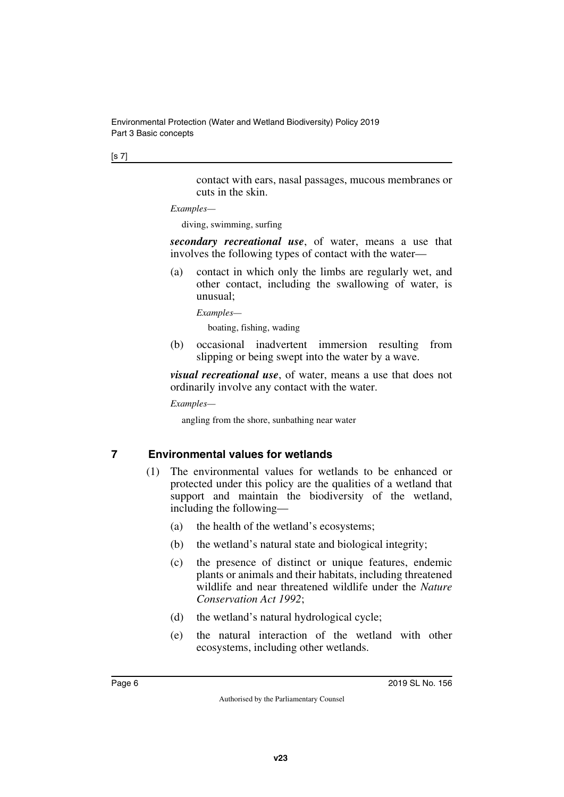#### [s 7]

contact with ears, nasal passages, mucous membranes or cuts in the skin.

#### *Examples—*

diving, swimming, surfing

*secondary recreational use*, of water, means a use that involves the following types of contact with the water—

(a) contact in which only the limbs are regularly wet, and other contact, including the swallowing of water, is unusual;

*Examples—*

boating, fishing, wading

(b) occasional inadvertent immersion resulting from slipping or being swept into the water by a wave.

*visual recreational use*, of water, means a use that does not ordinarily involve any contact with the water.

*Examples—*

angling from the shore, sunbathing near water

#### <span id="page-5-0"></span>**7 Environmental values for wetlands**

- <span id="page-5-1"></span>(1) The environmental values for wetlands to be enhanced or protected under this policy are the qualities of a wetland that support and maintain the biodiversity of the wetland, including the following—
	- (a) the health of the wetland's ecosystems;
	- (b) the wetland's natural state and biological integrity;
	- (c) the presence of distinct or unique features, endemic plants or animals and their habitats, including threatened wildlife and near threatened wildlife under the *Nature Conservation Act 1992*;
	- (d) the wetland's natural hydrological cycle;
	- (e) the natural interaction of the wetland with other ecosystems, including other wetlands.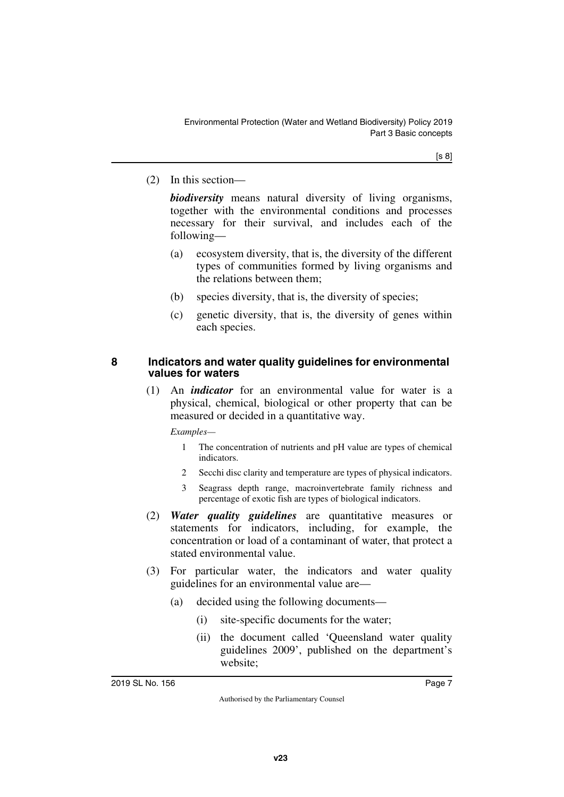(2) In this section—

*biodiversity* means natural diversity of living organisms, together with the environmental conditions and processes necessary for their survival, and includes each of the following—

- (a) ecosystem diversity, that is, the diversity of the different types of communities formed by living organisms and the relations between them;
- (b) species diversity, that is, the diversity of species;
- (c) genetic diversity, that is, the diversity of genes within each species.

#### <span id="page-6-1"></span><span id="page-6-0"></span>**8 Indicators and water quality guidelines for environmental values for waters**

(1) An *indicator* for an environmental value for water is a physical, chemical, biological or other property that can be measured or decided in a quantitative way.

*Examples—*

- 1 The concentration of nutrients and pH value are types of chemical indicators.
- 2 Secchi disc clarity and temperature are types of physical indicators.
- 3 Seagrass depth range, macroinvertebrate family richness and percentage of exotic fish are types of biological indicators.
- (2) *Water quality guidelines* are quantitative measures or statements for indicators, including, for example, the concentration or load of a contaminant of water, that protect a stated environmental value.
- (3) For particular water, the indicators and water quality guidelines for an environmental value are—
	- (a) decided using the following documents—
		- (i) site-specific documents for the water;
		- (ii) the document called 'Queensland water quality guidelines 2009', published on the department's website;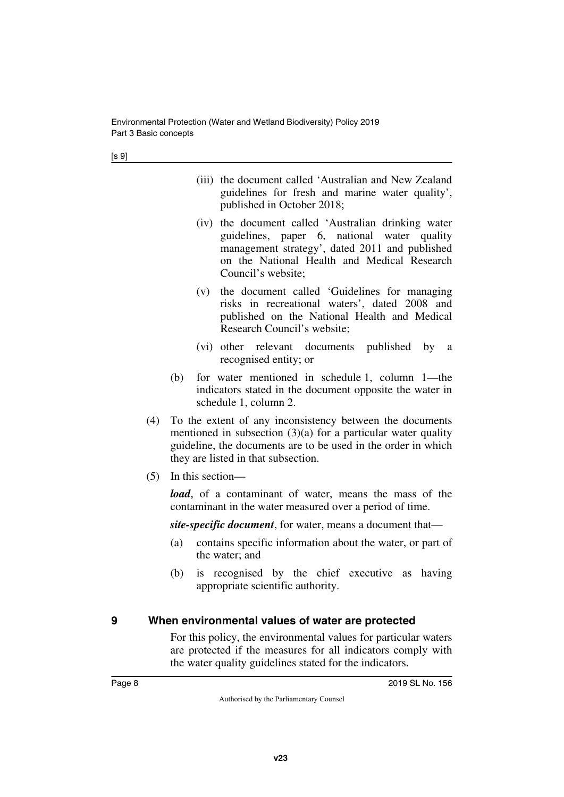[s 9]

- (iii) the document called 'Australian and New Zealand guidelines for fresh and marine water quality', published in October 2018;
- (iv) the document called 'Australian drinking water guidelines, paper 6, national water quality management strategy', dated 2011 and published on the National Health and Medical Research Council's website;
- (v) the document called 'Guidelines for managing risks in recreational waters', dated 2008 and published on the National Health and Medical Research Council's website;
- (vi) other relevant documents published by a recognised entity; or
- (b) for water mentioned in schedule 1, column 1—the indicators stated in the document opposite the water in schedule 1, column 2.
- (4) To the extent of any inconsistency between the documents mentioned in subsection  $(3)(a)$  for a particular water quality guideline, the documents are to be used in the order in which they are listed in that subsection.
- (5) In this section—

*load*, of a contaminant of water, means the mass of the contaminant in the water measured over a period of time.

*site-specific document*, for water, means a document that—

- (a) contains specific information about the water, or part of the water; and
- (b) is recognised by the chief executive as having appropriate scientific authority.

### <span id="page-7-0"></span>**9 When environmental values of water are protected**

<span id="page-7-1"></span>For this policy, the environmental values for particular waters are protected if the measures for all indicators comply with the water quality guidelines stated for the indicators.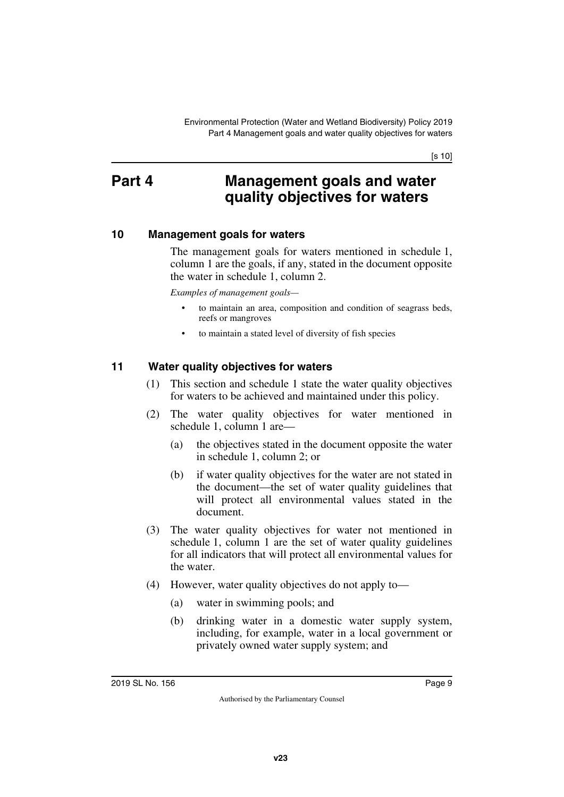[s 10]

### <span id="page-8-0"></span>**Part 4 Management goals and water quality objectives for waters**

#### <span id="page-8-2"></span>**10 Management goals for waters**

<span id="page-8-3"></span><span id="page-8-1"></span>The management goals for waters mentioned in schedule 1, column 1 are the goals, if any, stated in the document opposite the water in schedule 1, column 2.

*Examples of management goals—*

- to maintain an area, composition and condition of seagrass beds, reefs or mangroves
- to maintain a stated level of diversity of fish species

#### <span id="page-8-4"></span>**11 Water quality objectives for waters**

- <span id="page-8-5"></span>(1) This section and schedule 1 state the water quality objectives for waters to be achieved and maintained under this policy.
- (2) The water quality objectives for water mentioned in schedule 1, column 1 are—
	- (a) the objectives stated in the document opposite the water in schedule 1, column 2; or
	- (b) if water quality objectives for the water are not stated in the document—the set of water quality guidelines that will protect all environmental values stated in the document.
- (3) The water quality objectives for water not mentioned in schedule 1, column 1 are the set of water quality guidelines for all indicators that will protect all environmental values for the water.
- (4) However, water quality objectives do not apply to—
	- (a) water in swimming pools; and
	- (b) drinking water in a domestic water supply system, including, for example, water in a local government or privately owned water supply system; and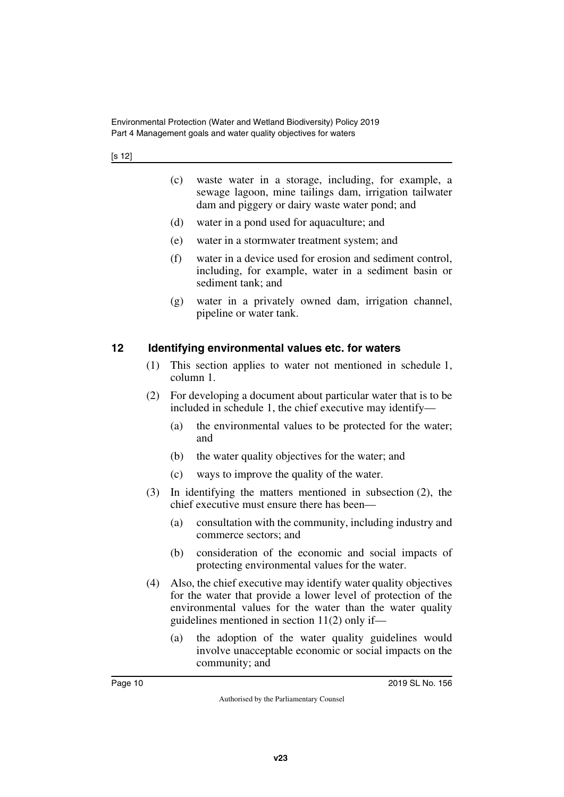- (c) waste water in a storage, including, for example, a sewage lagoon, mine tailings dam, irrigation tailwater dam and piggery or dairy waste water pond; and
- (d) water in a pond used for aquaculture; and
- (e) water in a stormwater treatment system; and
- (f) water in a device used for erosion and sediment control, including, for example, water in a sediment basin or sediment tank; and
- (g) water in a privately owned dam, irrigation channel, pipeline or water tank.

#### <span id="page-9-0"></span>**12 Identifying environmental values etc. for waters**

- <span id="page-9-1"></span>(1) This section applies to water not mentioned in schedule 1, column 1.
- (2) For developing a document about particular water that is to be included in schedule 1, the chief executive may identify—
	- (a) the environmental values to be protected for the water; and
	- (b) the water quality objectives for the water; and
	- (c) ways to improve the quality of the water.
- (3) In identifying the matters mentioned in subsection (2), the chief executive must ensure there has been—
	- (a) consultation with the community, including industry and commerce sectors; and
	- (b) consideration of the economic and social impacts of protecting environmental values for the water.
- (4) Also, the chief executive may identify water quality objectives for the water that provide a lower level of protection of the environmental values for the water than the water quality guidelines mentioned in section 11(2) only if—
	- (a) the adoption of the water quality guidelines would involve unacceptable economic or social impacts on the community; and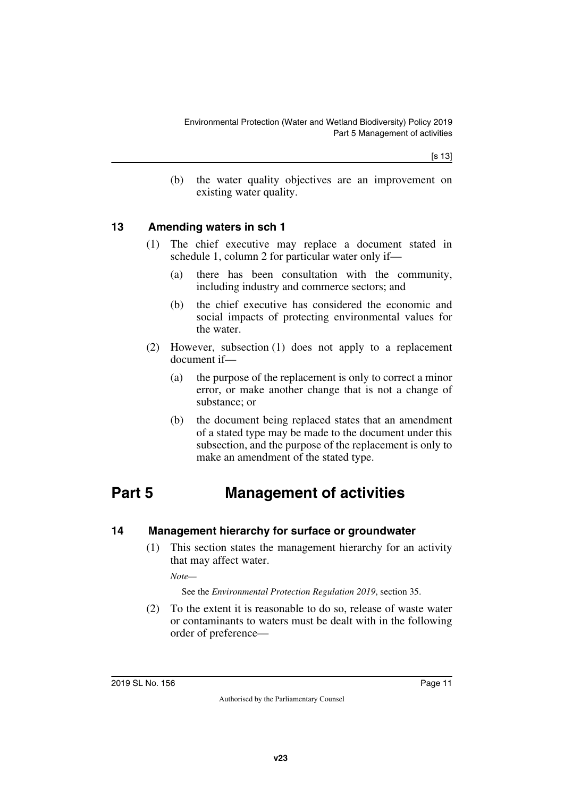(b) the water quality objectives are an improvement on existing water quality.

#### <span id="page-10-0"></span>**13 Amending waters in sch 1**

- <span id="page-10-1"></span>(1) The chief executive may replace a document stated in schedule 1, column 2 for particular water only if—
	- (a) there has been consultation with the community, including industry and commerce sectors; and
	- (b) the chief executive has considered the economic and social impacts of protecting environmental values for the water.
- (2) However, subsection (1) does not apply to a replacement document if—
	- (a) the purpose of the replacement is only to correct a minor error, or make another change that is not a change of substance; or
	- (b) the document being replaced states that an amendment of a stated type may be made to the document under this subsection, and the purpose of the replacement is only to make an amendment of the stated type.

# <span id="page-10-2"></span>**Part 5 Management of activities**

#### <span id="page-10-4"></span>**14 Management hierarchy for surface or groundwater**

<span id="page-10-5"></span><span id="page-10-3"></span>(1) This section states the management hierarchy for an activity that may affect water.

*Note—*

See the *Environmental Protection Regulation 2019*, section 35.

(2) To the extent it is reasonable to do so, release of waste water or contaminants to waters must be dealt with in the following order of preference—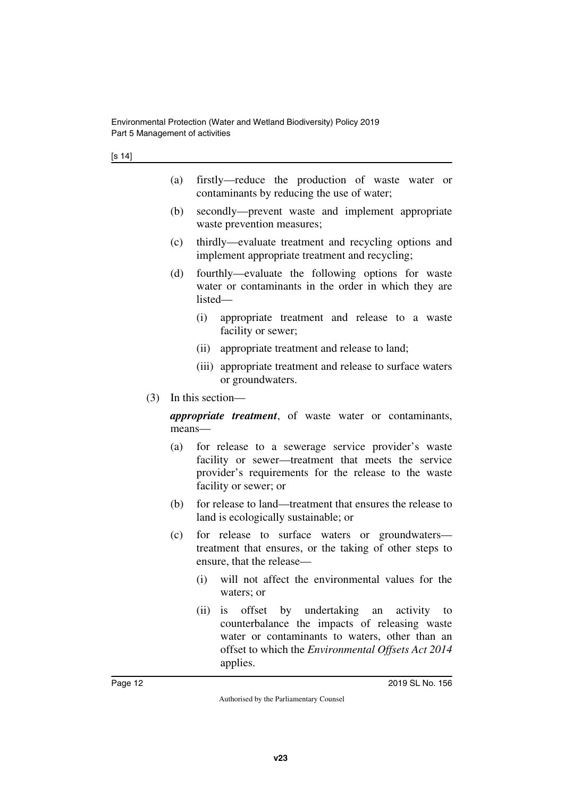- (a) firstly—reduce the production of waste water or contaminants by reducing the use of water;
- (b) secondly—prevent waste and implement appropriate waste prevention measures;
- (c) thirdly—evaluate treatment and recycling options and implement appropriate treatment and recycling;
- (d) fourthly—evaluate the following options for waste water or contaminants in the order in which they are listed—
	- (i) appropriate treatment and release to a waste facility or sewer;
	- (ii) appropriate treatment and release to land;
	- (iii) appropriate treatment and release to surface waters or groundwaters.
- (3) In this section—

*appropriate treatment*, of waste water or contaminants, means—

- (a) for release to a sewerage service provider's waste facility or sewer—treatment that meets the service provider's requirements for the release to the waste facility or sewer; or
- (b) for release to land—treatment that ensures the release to land is ecologically sustainable; or
- (c) for release to surface waters or groundwaters treatment that ensures, or the taking of other steps to ensure, that the release—
	- (i) will not affect the environmental values for the waters; or
	- (ii) is offset by undertaking an activity to counterbalance the impacts of releasing waste water or contaminants to waters, other than an offset to which the *Environmental Offsets Act 2014* applies.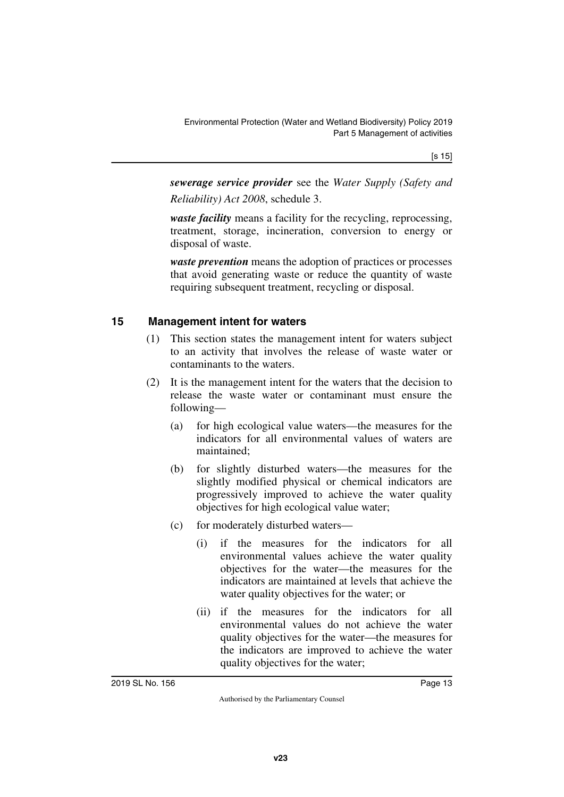[s 15]

*sewerage service provider* see the *Water Supply (Safety and Reliability) Act 2008*, schedule 3.

*waste facility* means a facility for the recycling, reprocessing, treatment, storage, incineration, conversion to energy or disposal of waste.

*waste prevention* means the adoption of practices or processes that avoid generating waste or reduce the quantity of waste requiring subsequent treatment, recycling or disposal.

#### <span id="page-12-0"></span>**15 Management intent for waters**

- <span id="page-12-1"></span>(1) This section states the management intent for waters subject to an activity that involves the release of waste water or contaminants to the waters.
- (2) It is the management intent for the waters that the decision to release the waste water or contaminant must ensure the following—
	- (a) for high ecological value waters—the measures for the indicators for all environmental values of waters are maintained;
	- (b) for slightly disturbed waters—the measures for the slightly modified physical or chemical indicators are progressively improved to achieve the water quality objectives for high ecological value water;
	- (c) for moderately disturbed waters—
		- (i) if the measures for the indicators for all environmental values achieve the water quality objectives for the water—the measures for the indicators are maintained at levels that achieve the water quality objectives for the water; or
		- (ii) if the measures for the indicators for all environmental values do not achieve the water quality objectives for the water—the measures for the indicators are improved to achieve the water quality objectives for the water;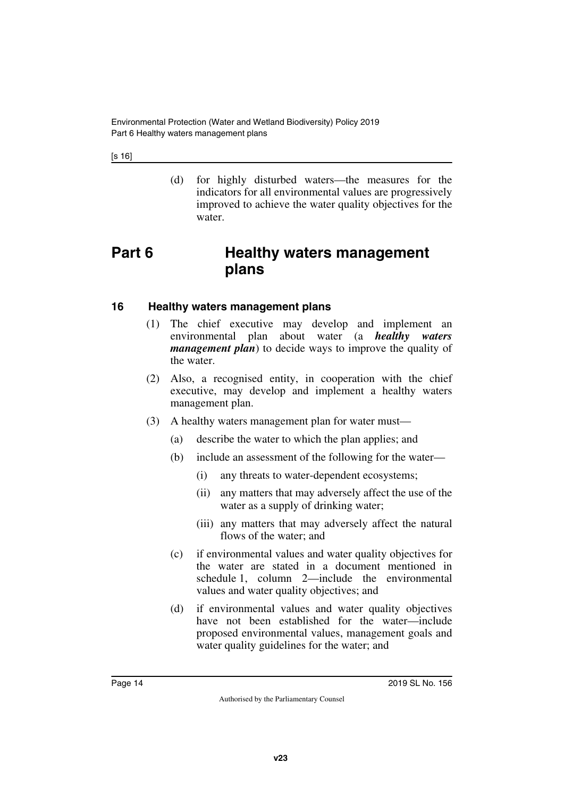Environmental Protection (Water and Wetland Biodiversity) Policy 2019 Part 6 Healthy waters management plans

[s 16]

<span id="page-13-1"></span>(d) for highly disturbed waters—the measures for the indicators for all environmental values are progressively improved to achieve the water quality objectives for the water.

### <span id="page-13-0"></span>**Part 6 Healthy waters management plans**

#### <span id="page-13-2"></span>**16 Healthy waters management plans**

- <span id="page-13-3"></span>(1) The chief executive may develop and implement an environmental plan about water (a *healthy waters management plan*) to decide ways to improve the quality of the water.
- (2) Also, a recognised entity, in cooperation with the chief executive, may develop and implement a healthy waters management plan.
- (3) A healthy waters management plan for water must—
	- (a) describe the water to which the plan applies; and
	- (b) include an assessment of the following for the water—
		- (i) any threats to water-dependent ecosystems;
		- (ii) any matters that may adversely affect the use of the water as a supply of drinking water;
		- (iii) any matters that may adversely affect the natural flows of the water; and
	- (c) if environmental values and water quality objectives for the water are stated in a document mentioned in schedule 1, column 2—include the environmental values and water quality objectives; and
	- (d) if environmental values and water quality objectives have not been established for the water—include proposed environmental values, management goals and water quality guidelines for the water; and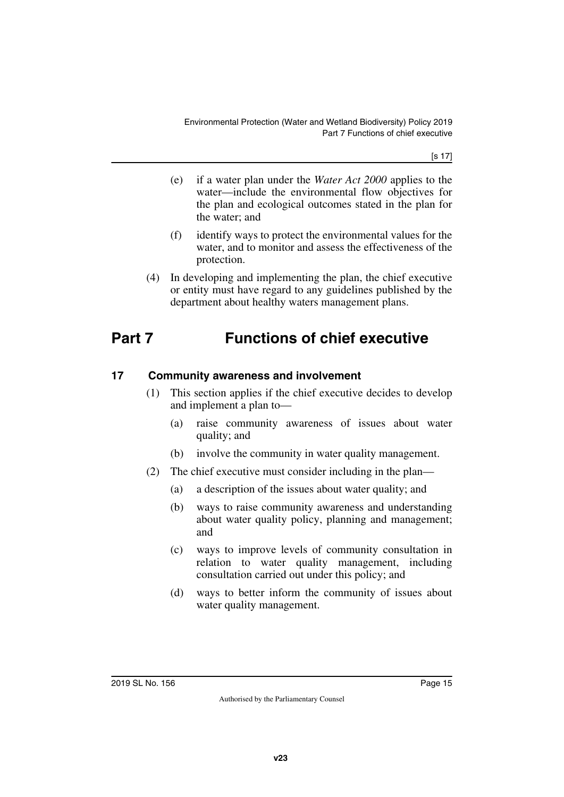[s 17]

- (e) if a water plan under the *Water Act 2000* applies to the water—include the environmental flow objectives for the plan and ecological outcomes stated in the plan for the water; and
- (f) identify ways to protect the environmental values for the water, and to monitor and assess the effectiveness of the protection.
- <span id="page-14-1"></span>(4) In developing and implementing the plan, the chief executive or entity must have regard to any guidelines published by the department about healthy waters management plans.

# <span id="page-14-0"></span>**Part 7 Functions of chief executive**

#### <span id="page-14-2"></span>**17 Community awareness and involvement**

- <span id="page-14-3"></span>(1) This section applies if the chief executive decides to develop and implement a plan to—
	- (a) raise community awareness of issues about water quality; and
	- (b) involve the community in water quality management.
- (2) The chief executive must consider including in the plan—
	- (a) a description of the issues about water quality; and
	- (b) ways to raise community awareness and understanding about water quality policy, planning and management; and
	- (c) ways to improve levels of community consultation in relation to water quality management, including consultation carried out under this policy; and
	- (d) ways to better inform the community of issues about water quality management.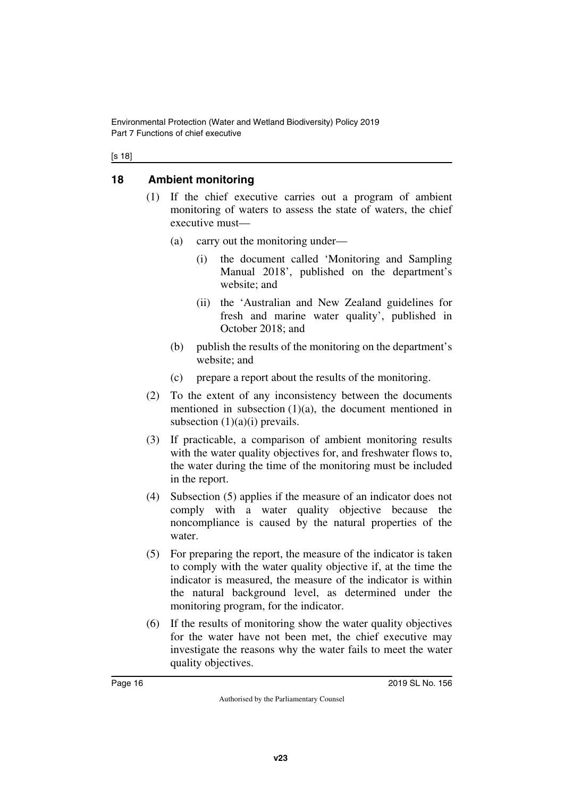Environmental Protection (Water and Wetland Biodiversity) Policy 2019 Part 7 Functions of chief executive

#### [s 18]

#### <span id="page-15-0"></span>**18 Ambient monitoring**

- <span id="page-15-1"></span>(1) If the chief executive carries out a program of ambient monitoring of waters to assess the state of waters, the chief executive must—
	- (a) carry out the monitoring under—
		- (i) the document called 'Monitoring and Sampling Manual 2018', published on the department's website; and
		- (ii) the 'Australian and New Zealand guidelines for fresh and marine water quality', published in October 2018; and
	- (b) publish the results of the monitoring on the department's website; and
	- (c) prepare a report about the results of the monitoring.
- (2) To the extent of any inconsistency between the documents mentioned in subsection  $(1)(a)$ , the document mentioned in subsection  $(1)(a)(i)$  prevails.
- (3) If practicable, a comparison of ambient monitoring results with the water quality objectives for, and freshwater flows to, the water during the time of the monitoring must be included in the report.
- (4) Subsection (5) applies if the measure of an indicator does not comply with a water quality objective because the noncompliance is caused by the natural properties of the water.
- (5) For preparing the report, the measure of the indicator is taken to comply with the water quality objective if, at the time the indicator is measured, the measure of the indicator is within the natural background level, as determined under the monitoring program, for the indicator.
- (6) If the results of monitoring show the water quality objectives for the water have not been met, the chief executive may investigate the reasons why the water fails to meet the water quality objectives.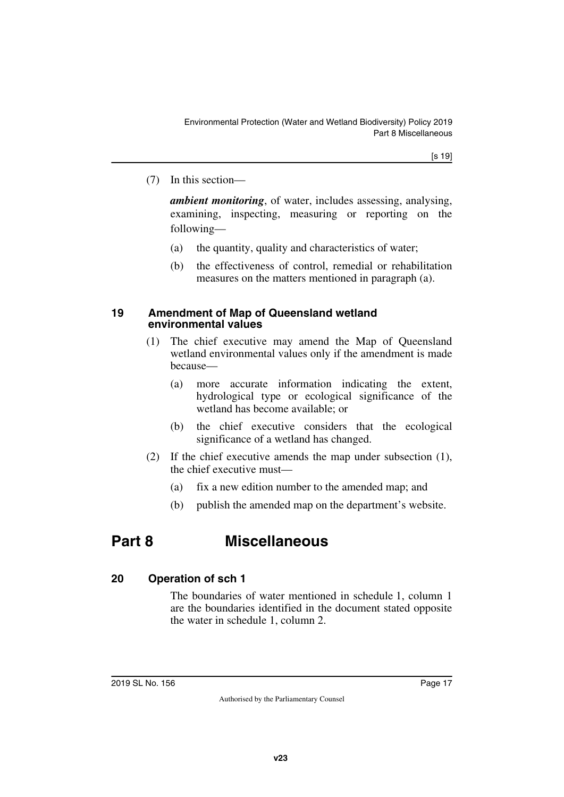(7) In this section—

*ambient monitoring*, of water, includes assessing, analysing, examining, inspecting, measuring or reporting on the following—

- (a) the quantity, quality and characteristics of water;
- (b) the effectiveness of control, remedial or rehabilitation measures on the matters mentioned in paragraph (a).

#### <span id="page-16-1"></span><span id="page-16-0"></span>**19 Amendment of Map of Queensland wetland environmental values**

- (1) The chief executive may amend the Map of Queensland wetland environmental values only if the amendment is made because—
	- (a) more accurate information indicating the extent, hydrological type or ecological significance of the wetland has become available; or
	- (b) the chief executive considers that the ecological significance of a wetland has changed.
- (2) If the chief executive amends the map under subsection (1), the chief executive must—
	- (a) fix a new edition number to the amended map; and
	- (b) publish the amended map on the department's website.

# <span id="page-16-2"></span>**Part 8 Miscellaneous**

#### <span id="page-16-4"></span>**20 Operation of sch 1**

<span id="page-16-5"></span><span id="page-16-3"></span>The boundaries of water mentioned in schedule 1, column 1 are the boundaries identified in the document stated opposite the water in schedule 1, column 2.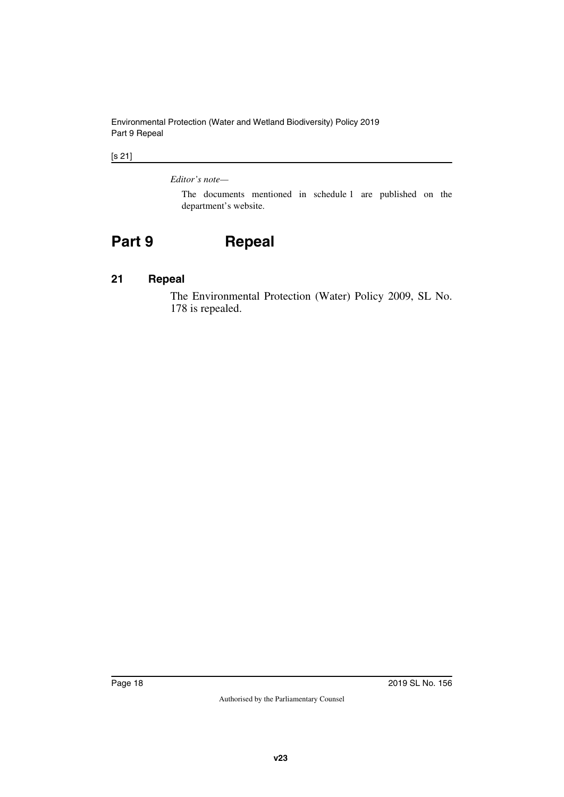Environmental Protection (Water and Wetland Biodiversity) Policy 2019 Part 9 Repeal

#### [s 21]

#### *Editor's note—*

<span id="page-17-1"></span>The documents mentioned in schedule 1 are published on the department's website.

# <span id="page-17-0"></span>**Part 9 Repeal**

#### <span id="page-17-2"></span>**21 Repeal**

<span id="page-17-3"></span>The Environmental Protection (Water) Policy 2009, SL No. 178 is repealed.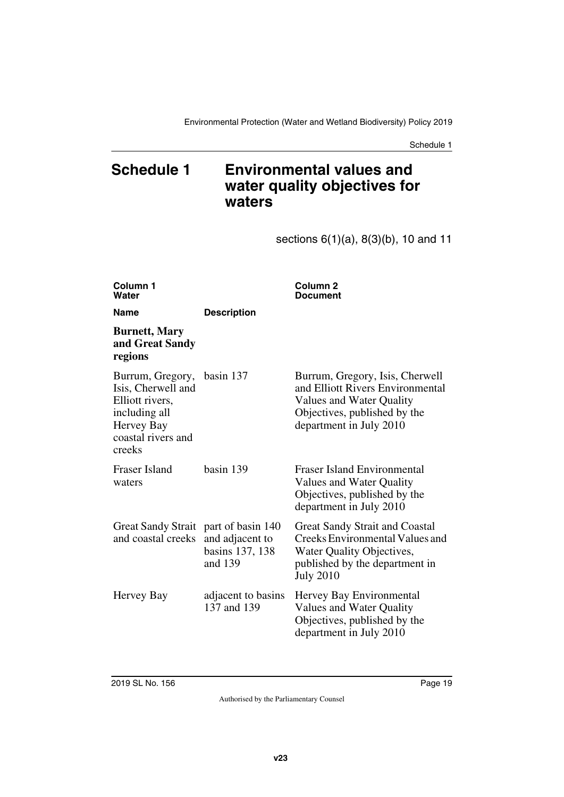### <span id="page-18-0"></span>**Schedule 1 Environmental values and water quality objectives for waters**

<span id="page-18-1"></span>sections 6(1)(a), 8(3)(b), 10 and 11

| Column 1<br>Water                                                                                                                  |                                               | Column <sub>2</sub><br><b>Document</b>                                                                                                                      |
|------------------------------------------------------------------------------------------------------------------------------------|-----------------------------------------------|-------------------------------------------------------------------------------------------------------------------------------------------------------------|
| <b>Name</b>                                                                                                                        | <b>Description</b>                            |                                                                                                                                                             |
| <b>Burnett, Mary</b><br>and Great Sandy<br>regions                                                                                 |                                               |                                                                                                                                                             |
| Burrum, Gregory, basin 137<br>Isis, Cherwell and<br>Elliott rivers,<br>including all<br>Hervey Bay<br>coastal rivers and<br>creeks |                                               | Burrum, Gregory, Isis, Cherwell<br>and Elliott Rivers Environmental<br>Values and Water Quality<br>Objectives, published by the<br>department in July 2010  |
| Fraser Island<br>waters                                                                                                            | basin 139                                     | <b>Fraser Island Environmental</b><br>Values and Water Quality<br>Objectives, published by the<br>department in July 2010                                   |
| Great Sandy Strait part of basin 140<br>and coastal creeks                                                                         | and adjacent to<br>basins 137, 138<br>and 139 | <b>Great Sandy Strait and Coastal</b><br>Creeks Environmental Values and<br>Water Quality Objectives,<br>published by the department in<br><b>July 2010</b> |
| Hervey Bay                                                                                                                         | adjacent to basins<br>137 and 139             | Hervey Bay Environmental<br>Values and Water Quality<br>Objectives, published by the<br>department in July 2010                                             |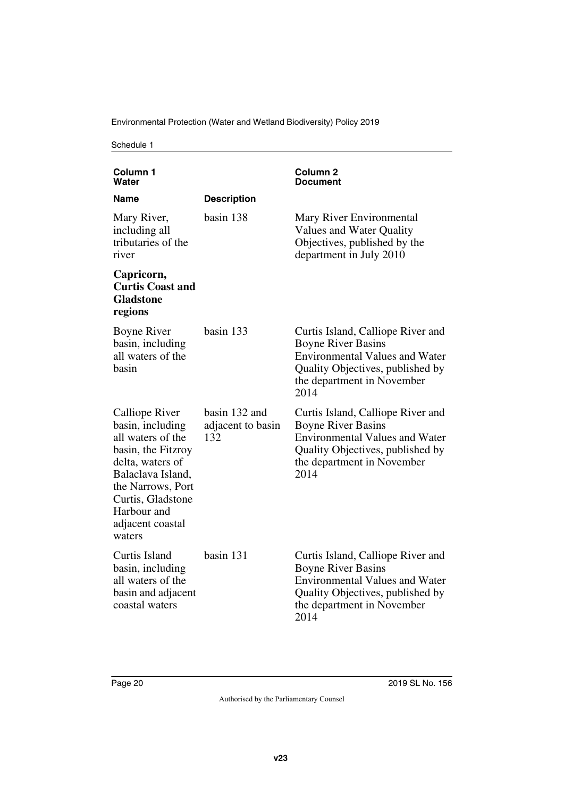Environmental Protection (Water and Wetland Biodiversity) Policy 2019

| Column 1<br>Water                                                                                                                                                                                             |                                           | Column <sub>2</sub><br>Document                                                                                                                                                   |
|---------------------------------------------------------------------------------------------------------------------------------------------------------------------------------------------------------------|-------------------------------------------|-----------------------------------------------------------------------------------------------------------------------------------------------------------------------------------|
| Name                                                                                                                                                                                                          | <b>Description</b>                        |                                                                                                                                                                                   |
| Mary River,<br>including all<br>tributaries of the<br>river                                                                                                                                                   | basin 138                                 | Mary River Environmental<br>Values and Water Quality<br>Objectives, published by the<br>department in July 2010                                                                   |
| Capricorn,<br><b>Curtis Coast and</b><br><b>Gladstone</b><br>regions                                                                                                                                          |                                           |                                                                                                                                                                                   |
| <b>Boyne River</b><br>basin, including<br>all waters of the<br>basin                                                                                                                                          | basin 133                                 | Curtis Island, Calliope River and<br><b>Boyne River Basins</b><br><b>Environmental Values and Water</b><br>Quality Objectives, published by<br>the department in November<br>2014 |
| Calliope River<br>basin, including<br>all waters of the<br>basin, the Fitzroy<br>delta, waters of<br>Balaclava Island,<br>the Narrows, Port<br>Curtis, Gladstone<br>Harbour and<br>adjacent coastal<br>waters | basin 132 and<br>adjacent to basin<br>132 | Curtis Island, Calliope River and<br><b>Boyne River Basins</b><br><b>Environmental Values and Water</b><br>Quality Objectives, published by<br>the department in November<br>2014 |
| Curtis Island<br>basin, including<br>all waters of the<br>basin and adjacent<br>coastal waters                                                                                                                | basin 131                                 | Curtis Island, Calliope River and<br><b>Boyne River Basins</b><br><b>Environmental Values and Water</b><br>Quality Objectives, published by<br>the department in November<br>2014 |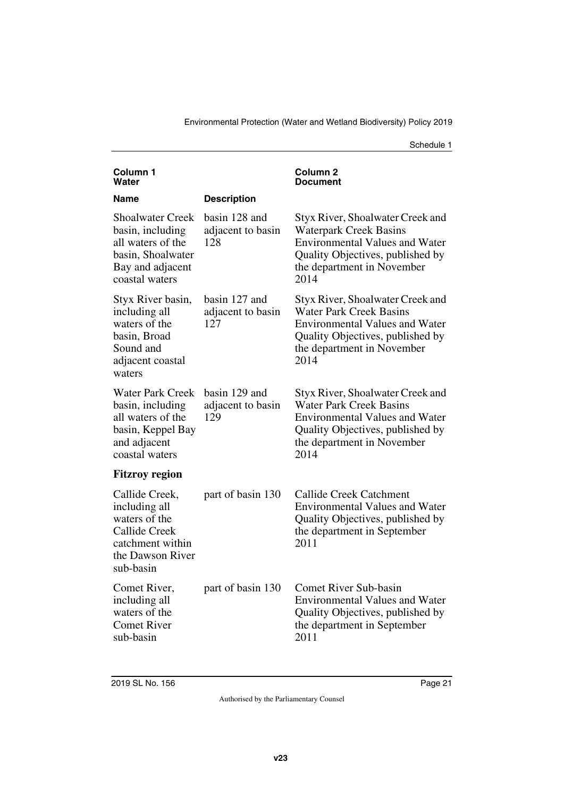| Column <sub>1</sub><br>Water                                                                                                  |                                           | Column 2<br>Document                                                                                                                                                                  |
|-------------------------------------------------------------------------------------------------------------------------------|-------------------------------------------|---------------------------------------------------------------------------------------------------------------------------------------------------------------------------------------|
| Name                                                                                                                          | <b>Description</b>                        |                                                                                                                                                                                       |
| <b>Shoalwater Creek</b><br>basin, including<br>all waters of the<br>basin, Shoalwater<br>Bay and adjacent<br>coastal waters   | basin 128 and<br>adjacent to basin<br>128 | Styx River, Shoalwater Creek and<br><b>Waterpark Creek Basins</b><br><b>Environmental Values and Water</b><br>Quality Objectives, published by<br>the department in November<br>2014  |
| Styx River basin,<br>including all<br>waters of the<br>basin, Broad<br>Sound and<br>adjacent coastal<br>waters                | basin 127 and<br>adjacent to basin<br>127 | Styx River, Shoalwater Creek and<br><b>Water Park Creek Basins</b><br><b>Environmental Values and Water</b><br>Quality Objectives, published by<br>the department in November<br>2014 |
| <b>Water Park Creek</b><br>basin, including<br>all waters of the<br>basin, Keppel Bay<br>and adjacent<br>coastal waters       | basin 129 and<br>adjacent to basin<br>129 | Styx River, Shoalwater Creek and<br><b>Water Park Creek Basins</b><br><b>Environmental Values and Water</b><br>Quality Objectives, published by<br>the department in November<br>2014 |
| <b>Fitzroy region</b>                                                                                                         |                                           |                                                                                                                                                                                       |
| Callide Creek,<br>including all<br>waters of the<br><b>Callide Creek</b><br>catchment within<br>the Dawson River<br>sub-basin | part of basin 130                         | <b>Callide Creek Catchment</b><br><b>Environmental Values and Water</b><br>Quality Objectives, published by<br>the department in September<br>2011                                    |
| Comet River,<br>including all<br>waters of the<br><b>Comet River</b><br>sub-basin                                             | part of basin 130                         | <b>Comet River Sub-basin</b><br><b>Environmental Values and Water</b><br>Quality Objectives, published by<br>the department in September<br>2011                                      |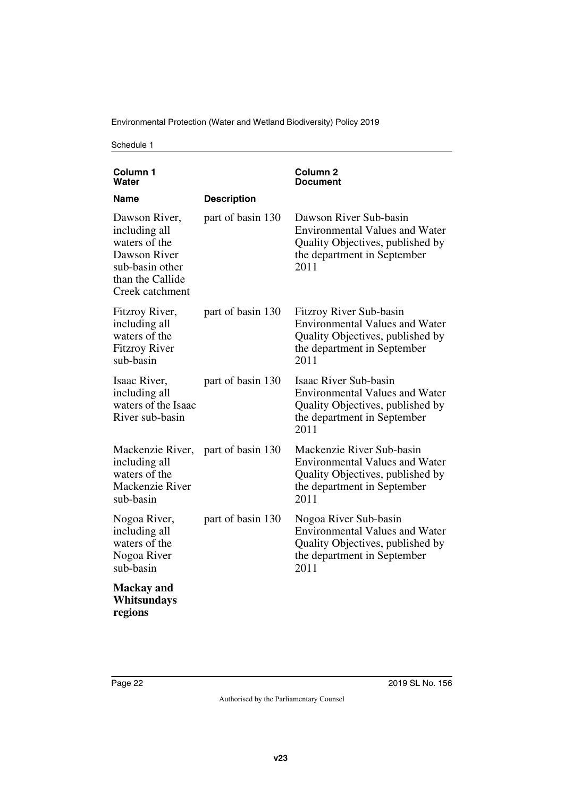| Column <sub>1</sub><br>Water                                                                                              |                    | <b>Column 2</b><br>Document                                                                                                                      |
|---------------------------------------------------------------------------------------------------------------------------|--------------------|--------------------------------------------------------------------------------------------------------------------------------------------------|
| Name                                                                                                                      | <b>Description</b> |                                                                                                                                                  |
| Dawson River,<br>including all<br>waters of the<br>Dawson River<br>sub-basin other<br>than the Callide<br>Creek catchment | part of basin 130  | Dawson River Sub-basin<br><b>Environmental Values and Water</b><br>Quality Objectives, published by<br>the department in September<br>2011       |
| Fitzroy River,<br>including all<br>waters of the<br><b>Fitzroy River</b><br>sub-basin                                     | part of basin 130  | Fitzroy River Sub-basin<br><b>Environmental Values and Water</b><br>Quality Objectives, published by<br>the department in September<br>2011      |
| Isaac River,<br>including all<br>waters of the Isaac<br>River sub-basin                                                   | part of basin 130  | <b>Isaac River Sub-basin</b><br><b>Environmental Values and Water</b><br>Quality Objectives, published by<br>the department in September<br>2011 |
| Mackenzie River,<br>including all<br>waters of the<br>Mackenzie River<br>sub-basin                                        | part of basin 130  | Mackenzie River Sub-basin<br><b>Environmental Values and Water</b><br>Quality Objectives, published by<br>the department in September<br>2011    |
| Nogoa River,<br>including all<br>waters of the<br>Nogoa River<br>sub-basin                                                | part of basin 130  | Nogoa River Sub-basin<br><b>Environmental Values and Water</b><br>Quality Objectives, published by<br>the department in September<br>2011        |
| <b>Mackay</b> and<br>Whitsundays<br>regions                                                                               |                    |                                                                                                                                                  |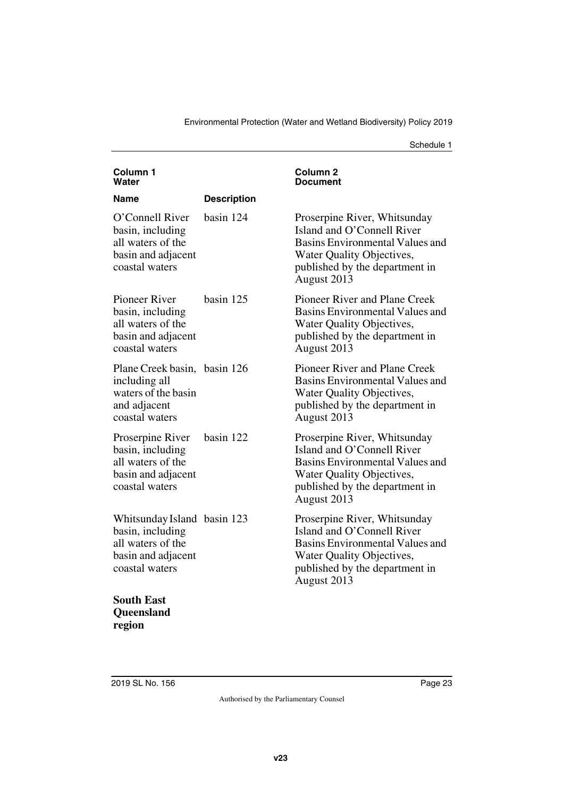| Column <sub>1</sub><br>Water                                                                                 |                    | Column <sub>2</sub><br><b>Document</b>                                                                                                                                      |
|--------------------------------------------------------------------------------------------------------------|--------------------|-----------------------------------------------------------------------------------------------------------------------------------------------------------------------------|
| Name                                                                                                         | <b>Description</b> |                                                                                                                                                                             |
| O'Connell River<br>basin, including<br>all waters of the<br>basin and adjacent<br>coastal waters             | basin 124          | Proserpine River, Whitsunday<br>Island and O'Connell River<br>Basins Environmental Values and<br>Water Quality Objectives,<br>published by the department in<br>August 2013 |
| <b>Pioneer River</b><br>basin, including<br>all waters of the<br>basin and adjacent<br>coastal waters        | basin 125          | Pioneer River and Plane Creek<br><b>Basins Environmental Values and</b><br>Water Quality Objectives,<br>published by the department in<br>August 2013                       |
| Plane Creek basin, basin 126<br>including all<br>waters of the basin<br>and adjacent<br>coastal waters       |                    | Pioneer River and Plane Creek<br><b>Basins Environmental Values and</b><br>Water Quality Objectives,<br>published by the department in<br>August 2013                       |
| Proserpine River<br>basin, including<br>all waters of the<br>basin and adjacent<br>coastal waters            | basin 122          | Proserpine River, Whitsunday<br>Island and O'Connell River<br>Basins Environmental Values and<br>Water Quality Objectives,<br>published by the department in<br>August 2013 |
| Whitsunday Island basin 123<br>basin, including<br>all waters of the<br>basin and adjacent<br>coastal waters |                    | Proserpine River, Whitsunday<br>Island and O'Connell River<br>Basins Environmental Values and<br>Water Quality Objectives,<br>published by the department in<br>August 2013 |
| <b>South East</b>                                                                                            |                    |                                                                                                                                                                             |

**Queensland region**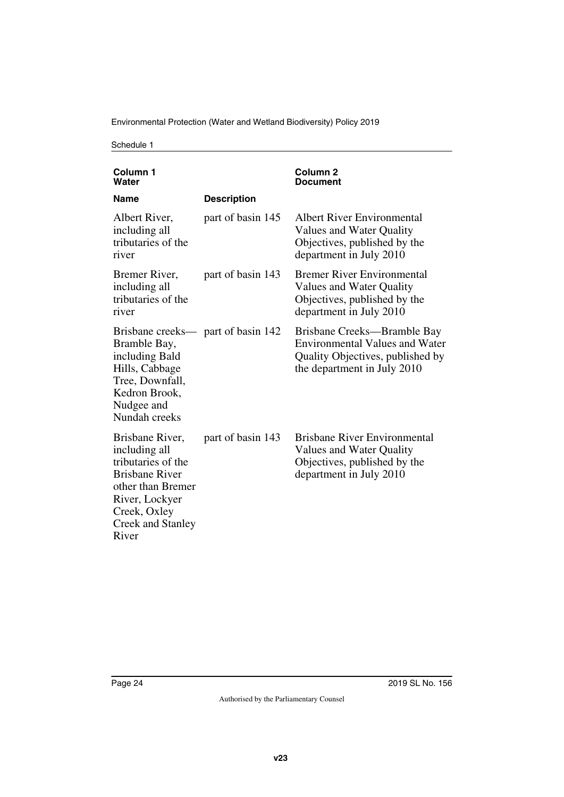| Column <sub>1</sub><br>Water                                                                                                                                                |                    | Column <sub>2</sub><br><b>Document</b>                                                                                                  |
|-----------------------------------------------------------------------------------------------------------------------------------------------------------------------------|--------------------|-----------------------------------------------------------------------------------------------------------------------------------------|
| <b>Name</b>                                                                                                                                                                 | <b>Description</b> |                                                                                                                                         |
| Albert River,<br>including all<br>tributaries of the<br>river                                                                                                               | part of basin 145  | Albert River Environmental<br>Values and Water Quality<br>Objectives, published by the<br>department in July 2010                       |
| Bremer River,<br>including all<br>tributaries of the<br>river                                                                                                               | part of basin 143  | <b>Bremer River Environmental</b><br>Values and Water Quality<br>Objectives, published by the<br>department in July 2010                |
| Brisbane creeks— part of basin 142<br>Bramble Bay,<br>including Bald<br>Hills, Cabbage<br>Tree, Downfall,<br>Kedron Brook,<br>Nudgee and<br>Nundah creeks                   |                    | Brisbane Creeks-Bramble Bay<br><b>Environmental Values and Water</b><br>Quality Objectives, published by<br>the department in July 2010 |
| Brisbane River,<br>including all<br>tributaries of the<br><b>Brisbane River</b><br>other than Bremer<br>River, Lockyer<br>Creek, Oxley<br><b>Creek and Stanley</b><br>River | part of basin 143  | <b>Brisbane River Environmental</b><br>Values and Water Quality<br>Objectives, published by the<br>department in July 2010              |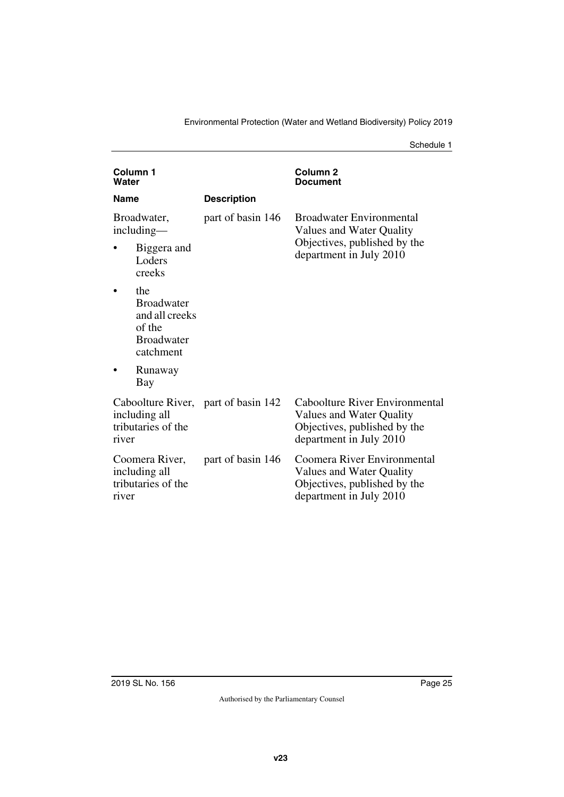| Column <sub>1</sub><br>Water |                                                                                        |                                     | Column <sub>2</sub><br>Document                                                                                       |
|------------------------------|----------------------------------------------------------------------------------------|-------------------------------------|-----------------------------------------------------------------------------------------------------------------------|
| <b>Name</b>                  |                                                                                        | <b>Description</b>                  |                                                                                                                       |
| Broadwater,<br>including—    |                                                                                        | part of basin 146                   | <b>Broadwater Environmental</b><br>Values and Water Quality                                                           |
|                              | Biggera and<br>Loders<br>creeks                                                        |                                     | Objectives, published by the<br>department in July 2010                                                               |
|                              | the<br><b>Broadwater</b><br>and all creeks<br>of the<br><b>Broadwater</b><br>catchment |                                     |                                                                                                                       |
|                              | Runaway<br>Bay                                                                         |                                     |                                                                                                                       |
| river                        | including all<br>tributaries of the                                                    | Caboolture River, part of basin 142 | Caboolture River Environmental<br>Values and Water Quality<br>Objectives, published by the<br>department in July 2010 |
| river                        | Coomera River,<br>including all<br>tributaries of the                                  | part of basin 146                   | Coomera River Environmental<br>Values and Water Quality<br>Objectives, published by the<br>department in July 2010    |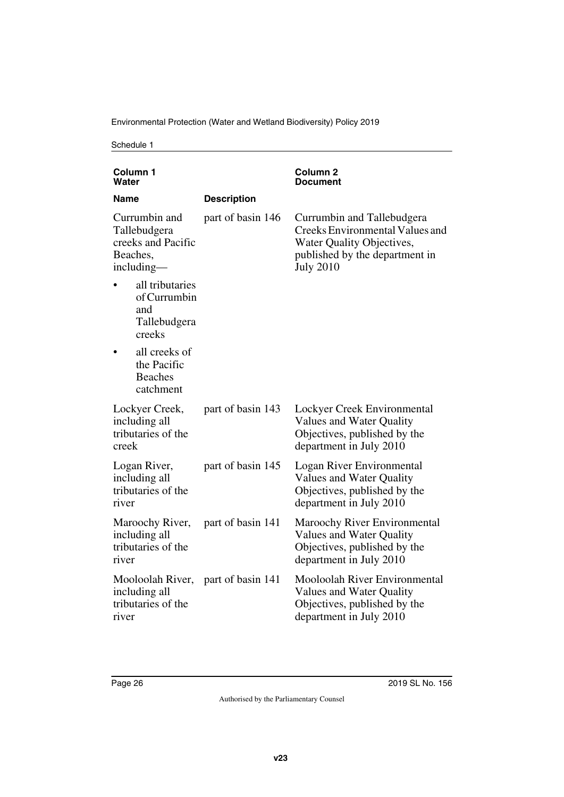Environmental Protection (Water and Wetland Biodiversity) Policy 2019

| Column 1<br>Water                                                               |                                                                  |                    | Column <sub>2</sub><br>Document                                                                                                                  |
|---------------------------------------------------------------------------------|------------------------------------------------------------------|--------------------|--------------------------------------------------------------------------------------------------------------------------------------------------|
| <b>Name</b>                                                                     |                                                                  | <b>Description</b> |                                                                                                                                                  |
| Currumbin and<br>Tallebudgera<br>creeks and Pacific<br>Beaches,<br>$including-$ |                                                                  | part of basin 146  | Currumbin and Tallebudgera<br>Creeks Environmental Values and<br>Water Quality Objectives,<br>published by the department in<br><b>July 2010</b> |
|                                                                                 | all tributaries<br>of Currumbin<br>and<br>Tallebudgera<br>creeks |                    |                                                                                                                                                  |
|                                                                                 | all creeks of<br>the Pacific<br><b>Beaches</b><br>catchment      |                    |                                                                                                                                                  |
| including all<br>creek                                                          | Lockyer Creek,<br>tributaries of the                             | part of basin 143  | Lockyer Creek Environmental<br><b>Values and Water Quality</b><br>Objectives, published by the<br>department in July 2010                        |
| Logan River,<br>including all<br>river                                          | tributaries of the                                               | part of basin 145  | Logan River Environmental<br>Values and Water Quality<br>Objectives, published by the<br>department in July 2010                                 |
| including all<br>river                                                          | Maroochy River,<br>tributaries of the                            | part of basin 141  | <b>Maroochy River Environmental</b><br>Values and Water Quality<br>Objectives, published by the<br>department in July 2010                       |
| including all<br>river                                                          | Mooloolah River,<br>tributaries of the                           | part of basin 141  | <b>Mooloolah River Environmental</b><br>Values and Water Quality<br>Objectives, published by the<br>department in July 2010                      |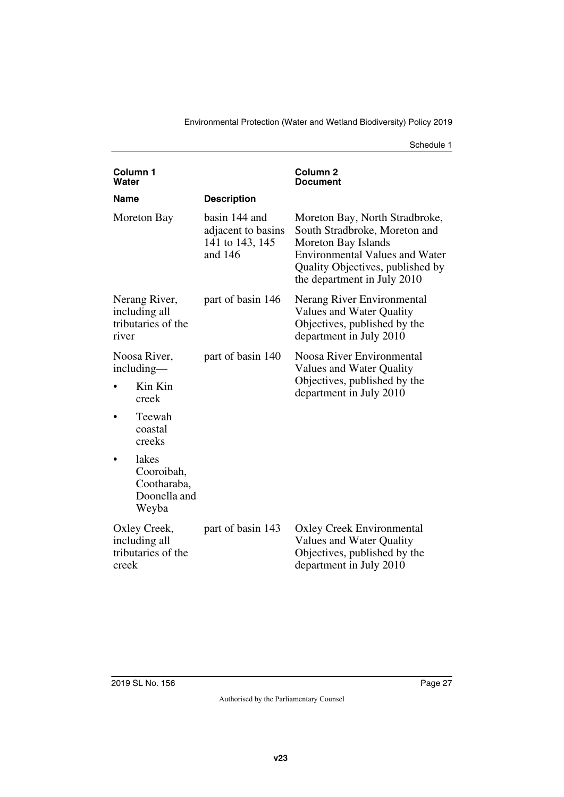| Column <sub>1</sub><br>Water                                  |                                                             |                                                                   | Column <sub>2</sub><br>Document                                                                                                                                                                    |
|---------------------------------------------------------------|-------------------------------------------------------------|-------------------------------------------------------------------|----------------------------------------------------------------------------------------------------------------------------------------------------------------------------------------------------|
| Name                                                          |                                                             | <b>Description</b>                                                |                                                                                                                                                                                                    |
|                                                               | Moreton Bay                                                 | basin 144 and<br>adjacent to basins<br>141 to 143, 145<br>and 146 | Moreton Bay, North Stradbroke,<br>South Stradbroke, Moreton and<br>Moreton Bay Islands<br><b>Environmental Values and Water</b><br>Quality Objectives, published by<br>the department in July 2010 |
| Nerang River,<br>including all<br>tributaries of the<br>river |                                                             | part of basin 146                                                 | Nerang River Environmental<br><b>Values and Water Quality</b><br>Objectives, published by the<br>department in July 2010                                                                           |
| Noosa River,<br>including-                                    |                                                             | part of basin 140                                                 | Noosa River Environmental<br>Values and Water Quality                                                                                                                                              |
|                                                               | Kin Kin<br>creek                                            |                                                                   | Objectives, published by the<br>department in July 2010                                                                                                                                            |
|                                                               | Teewah<br>coastal<br>creeks                                 |                                                                   |                                                                                                                                                                                                    |
|                                                               | lakes<br>Cooroibah,<br>Cootharaba,<br>Doonella and<br>Weyba |                                                                   |                                                                                                                                                                                                    |
| creek                                                         | Oxley Creek,<br>including all<br>tributaries of the         | part of basin 143                                                 | <b>Oxley Creek Environmental</b><br>Values and Water Quality<br>Objectives, published by the<br>department in July 2010                                                                            |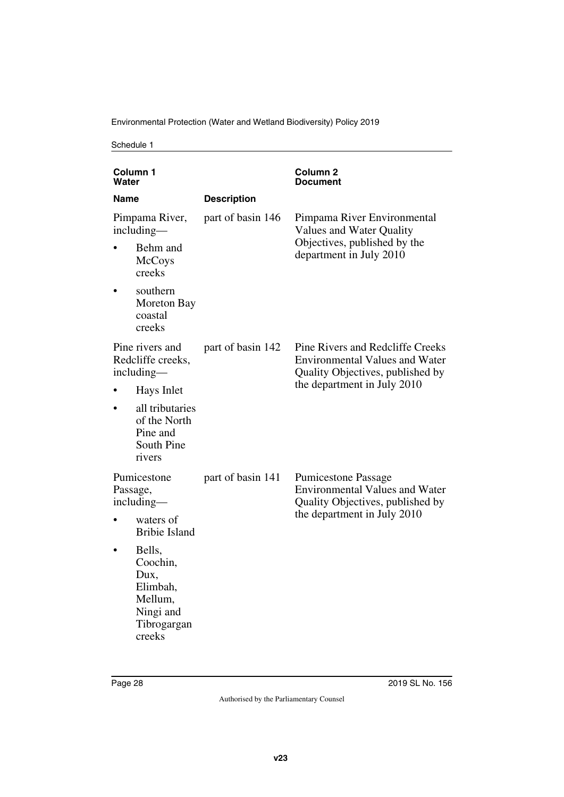Environmental Protection (Water and Wetland Biodiversity) Policy 2019

| Water    | Column 1                                                                                |                                               | Column 2<br>Document                                                                                          |
|----------|-----------------------------------------------------------------------------------------|-----------------------------------------------|---------------------------------------------------------------------------------------------------------------|
| Name     |                                                                                         | <b>Description</b>                            |                                                                                                               |
|          | Pimpama River,<br>including-                                                            | part of basin 146<br>Values and Water Quality | Pimpama River Environmental                                                                                   |
|          | Behm and<br><b>McCoys</b><br>creeks                                                     |                                               | Objectives, published by the<br>department in July 2010                                                       |
|          | southern<br>Moreton Bay<br>coastal<br>creeks                                            |                                               |                                                                                                               |
|          | Pine rivers and<br>Redcliffe creeks,<br>including—                                      | part of basin 142                             | Pine Rivers and Redcliffe Creeks<br><b>Environmental Values and Water</b><br>Quality Objectives, published by |
|          | Hays Inlet                                                                              |                                               | the department in July 2010                                                                                   |
|          | all tributaries<br>of the North<br>Pine and<br>South Pine<br>rivers                     |                                               |                                                                                                               |
| Passage, | Pumicestone<br>including-                                                               | part of basin 141                             | <b>Pumicestone Passage</b><br><b>Environmental Values and Water</b><br>Quality Objectives, published by       |
|          | waters of<br><b>Bribie Island</b>                                                       |                                               | the department in July 2010                                                                                   |
|          | Bells,<br>Coochin,<br>Dux,<br>Elimbah,<br>Mellum,<br>Ningi and<br>Tibrogargan<br>creeks |                                               |                                                                                                               |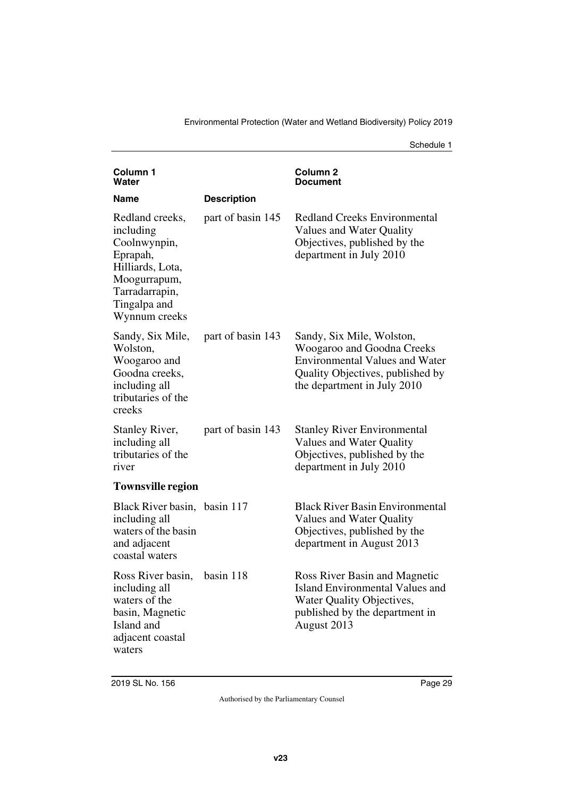| <b>Column 1</b><br>Water                                                                                                                        |                    | Column 2<br>Document                                                                                                                                                |
|-------------------------------------------------------------------------------------------------------------------------------------------------|--------------------|---------------------------------------------------------------------------------------------------------------------------------------------------------------------|
| Name                                                                                                                                            | <b>Description</b> |                                                                                                                                                                     |
| Redland creeks,<br>including<br>Coolnwynpin,<br>Eprapah,<br>Hilliards, Lota,<br>Moogurrapum,<br>Tarradarrapin,<br>Tingalpa and<br>Wynnum creeks | part of basin 145  | <b>Redland Creeks Environmental</b><br>Values and Water Quality<br>Objectives, published by the<br>department in July 2010                                          |
| Sandy, Six Mile,<br>Wolston,<br>Woogaroo and<br>Goodna creeks,<br>including all<br>tributaries of the<br>creeks                                 | part of basin 143  | Sandy, Six Mile, Wolston,<br>Woogaroo and Goodna Creeks<br><b>Environmental Values and Water</b><br>Quality Objectives, published by<br>the department in July 2010 |
| <b>Stanley River,</b><br>including all<br>tributaries of the<br>river                                                                           | part of basin 143  | <b>Stanley River Environmental</b><br>Values and Water Quality<br>Objectives, published by the<br>department in July 2010                                           |
| <b>Townsville region</b>                                                                                                                        |                    |                                                                                                                                                                     |
| Black River basin, basin 117<br>including all<br>waters of the basin<br>and adjacent<br>coastal waters                                          |                    | <b>Black River Basin Environmental</b><br>Values and Water Quality<br>Objectives, published by the<br>department in August 2013                                     |
| Ross River basin,<br>including all<br>waters of the<br>basin, Magnetic<br>Island and<br>adjacent coastal<br>waters                              | basin 118          | Ross River Basin and Magnetic<br><b>Island Environmental Values and</b><br>Water Quality Objectives,<br>published by the department in<br>August 2013               |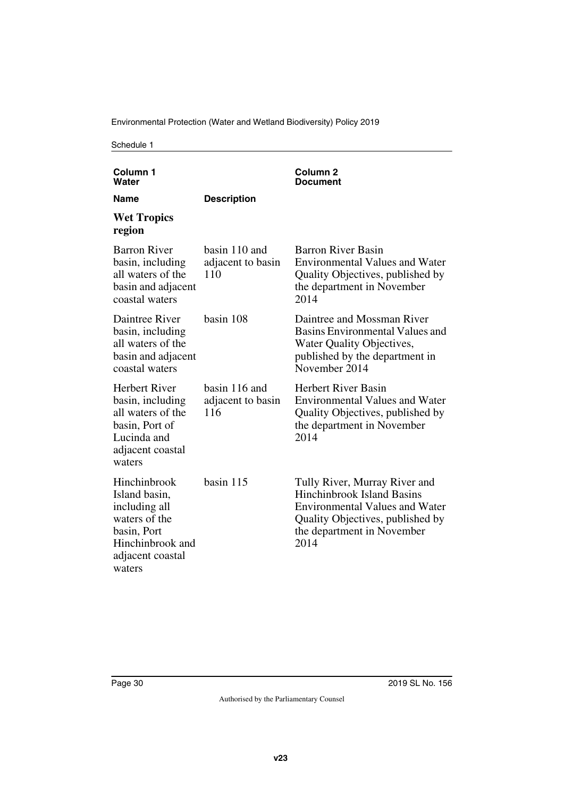Environmental Protection (Water and Wetland Biodiversity) Policy 2019

| Column <sub>1</sub><br>Water                                                                                                     |                                           | Column <sub>2</sub><br>Document                                                                                                                                                       |
|----------------------------------------------------------------------------------------------------------------------------------|-------------------------------------------|---------------------------------------------------------------------------------------------------------------------------------------------------------------------------------------|
| Name                                                                                                                             | <b>Description</b>                        |                                                                                                                                                                                       |
| <b>Wet Tropics</b><br>region                                                                                                     |                                           |                                                                                                                                                                                       |
| <b>Barron River</b><br>basin, including<br>all waters of the<br>basin and adjacent<br>coastal waters                             | basin 110 and<br>adjacent to basin<br>110 | <b>Barron River Basin</b><br><b>Environmental Values and Water</b><br>Quality Objectives, published by<br>the department in November<br>2014                                          |
| Daintree River<br>basin, including<br>all waters of the<br>basin and adjacent<br>coastal waters                                  | basin 108                                 | Daintree and Mossman River<br><b>Basins Environmental Values and</b><br>Water Quality Objectives,<br>published by the department in<br>November 2014                                  |
| <b>Herbert River</b><br>basin, including<br>all waters of the<br>basin, Port of<br>Lucinda and<br>adjacent coastal<br>waters     | basin 116 and<br>adjacent to basin<br>116 | <b>Herbert River Basin</b><br><b>Environmental Values and Water</b><br>Quality Objectives, published by<br>the department in November<br>2014                                         |
| Hinchinbrook<br>Island basin,<br>including all<br>waters of the<br>basin, Port<br>Hinchinbrook and<br>adjacent coastal<br>waters | basin 115                                 | Tully River, Murray River and<br><b>Hinchinbrook Island Basins</b><br><b>Environmental Values and Water</b><br>Quality Objectives, published by<br>the department in November<br>2014 |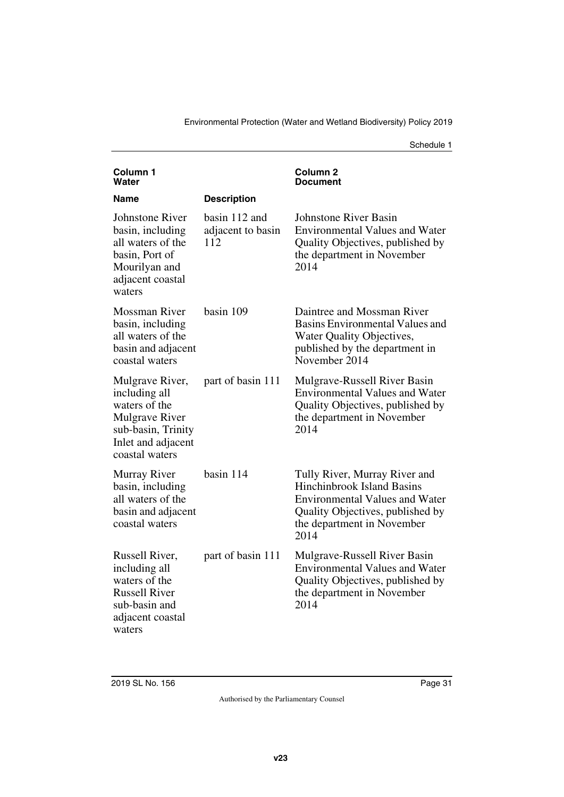| Column <sub>1</sub><br>Water                                                                                                             |                                           | Column 2<br>Document                                                                                                                                                                  |
|------------------------------------------------------------------------------------------------------------------------------------------|-------------------------------------------|---------------------------------------------------------------------------------------------------------------------------------------------------------------------------------------|
| Name                                                                                                                                     | <b>Description</b>                        |                                                                                                                                                                                       |
| Johnstone River<br>basin, including<br>all waters of the<br>basin, Port of<br>Mourilyan and<br>adjacent coastal<br>waters                | basin 112 and<br>adjacent to basin<br>112 | <b>Johnstone River Basin</b><br><b>Environmental Values and Water</b><br>Quality Objectives, published by<br>the department in November<br>2014                                       |
| <b>Mossman River</b><br>basin, including<br>all waters of the<br>basin and adjacent<br>coastal waters                                    | basin 109                                 | Daintree and Mossman River<br>Basins Environmental Values and<br>Water Quality Objectives,<br>published by the department in<br>November 2014                                         |
| Mulgrave River,<br>including all<br>waters of the<br><b>Mulgrave River</b><br>sub-basin, Trinity<br>Inlet and adjacent<br>coastal waters | part of basin 111                         | Mulgrave-Russell River Basin<br><b>Environmental Values and Water</b><br>Quality Objectives, published by<br>the department in November<br>2014                                       |
| Murray River<br>basin, including<br>all waters of the<br>basin and adjacent<br>coastal waters                                            | basin 114                                 | Tully River, Murray River and<br><b>Hinchinbrook Island Basins</b><br><b>Environmental Values and Water</b><br>Quality Objectives, published by<br>the department in November<br>2014 |
| Russell River,<br>including all<br>waters of the<br><b>Russell River</b><br>sub-basin and<br>adjacent coastal<br>waters                  | part of basin 111                         | Mulgrave-Russell River Basin<br><b>Environmental Values and Water</b><br>Quality Objectives, published by<br>the department in November<br>2014                                       |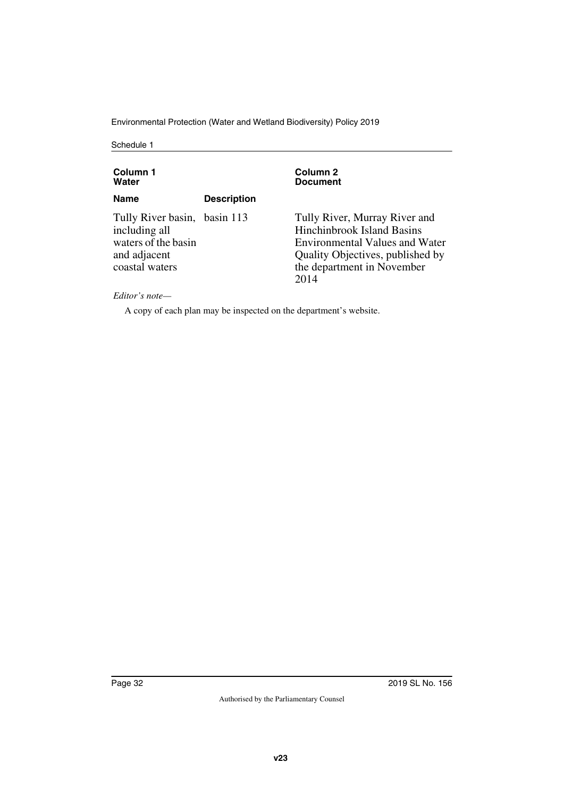Environmental Protection (Water and Wetland Biodiversity) Policy 2019

Schedule 1

| Column 1<br>Water                                                                                      |                    | Column 2<br><b>Document</b>                                                                                                                                                           |
|--------------------------------------------------------------------------------------------------------|--------------------|---------------------------------------------------------------------------------------------------------------------------------------------------------------------------------------|
| <b>Name</b>                                                                                            | <b>Description</b> |                                                                                                                                                                                       |
| Tully River basin, basin 113<br>including all<br>waters of the basin<br>and adjacent<br>coastal waters |                    | Tully River, Murray River and<br><b>Hinchinbrook Island Basins</b><br><b>Environmental Values and Water</b><br>Quality Objectives, published by<br>the department in November<br>2014 |

*Editor's note—*

A copy of each plan may be inspected on the department's website.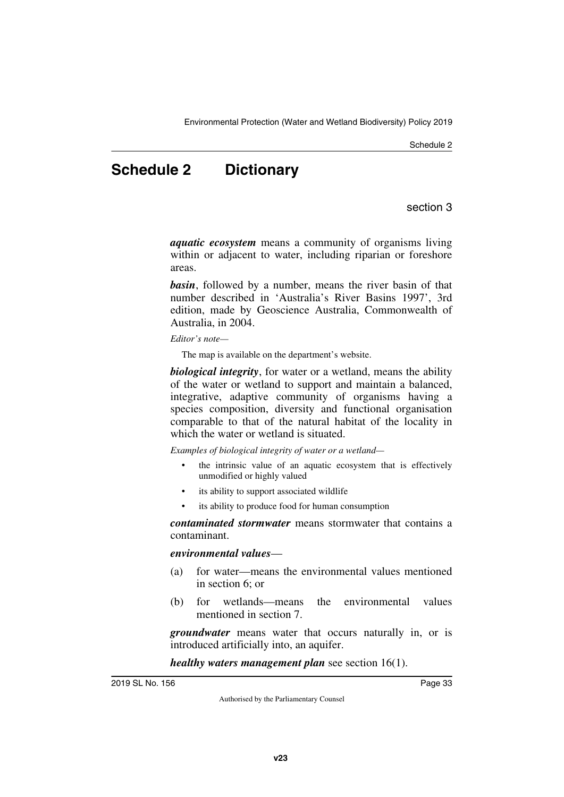### <span id="page-32-0"></span>**Schedule 2 Dictionary**

section 3

<span id="page-32-1"></span>*aquatic ecosystem* means a community of organisms living within or adjacent to water, including riparian or foreshore areas.

*basin*, followed by a number, means the river basin of that number described in 'Australia's River Basins 1997', 3rd edition, made by Geoscience Australia, Commonwealth of Australia, in 2004.

*Editor's note—*

The map is available on the department's website.

*biological integrity*, for water or a wetland, means the ability of the water or wetland to support and maintain a balanced, integrative, adaptive community of organisms having a species composition, diversity and functional organisation comparable to that of the natural habitat of the locality in which the water or wetland is situated.

*Examples of biological integrity of water or a wetland—*

- the intrinsic value of an aquatic ecosystem that is effectively unmodified or highly valued
- its ability to support associated wildlife
- its ability to produce food for human consumption

*contaminated stormwater* means stormwater that contains a contaminant.

#### *environmental values*—

- (a) for water—means the environmental values mentioned in section 6; or
- (b) for wetlands—means the environmental values mentioned in section 7.

*groundwater* means water that occurs naturally in, or is introduced artificially into, an aquifer.

*healthy waters management plan* see section 16(1).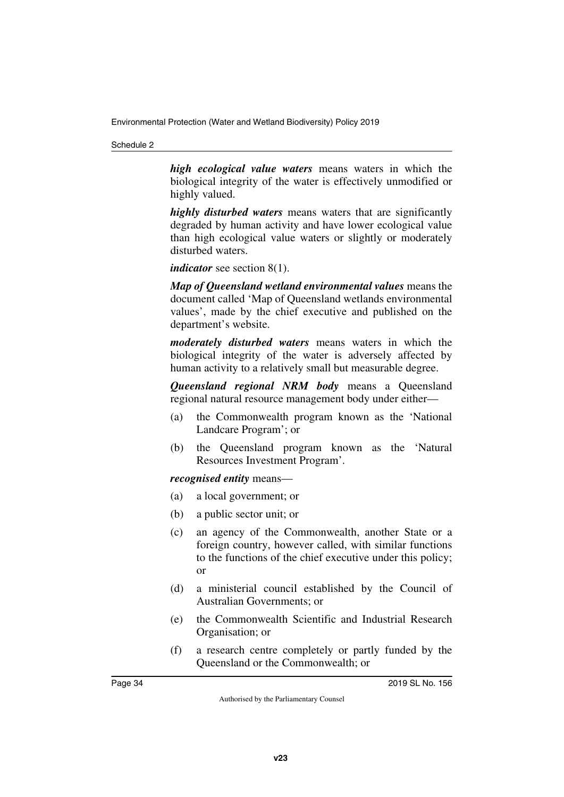*high ecological value waters* means waters in which the biological integrity of the water is effectively unmodified or highly valued.

*highly disturbed waters* means waters that are significantly degraded by human activity and have lower ecological value than high ecological value waters or slightly or moderately disturbed waters.

*indicator* see section 8(1).

*Map of Queensland wetland environmental values* means the document called 'Map of Queensland wetlands environmental values', made by the chief executive and published on the department's website.

*moderately disturbed waters* means waters in which the biological integrity of the water is adversely affected by human activity to a relatively small but measurable degree.

*Queensland regional NRM body* means a Queensland regional natural resource management body under either—

- (a) the Commonwealth program known as the 'National Landcare Program'; or
- (b) the Queensland program known as the 'Natural Resources Investment Program'.

#### *recognised entity* means—

- (a) a local government; or
- (b) a public sector unit; or
- (c) an agency of the Commonwealth, another State or a foreign country, however called, with similar functions to the functions of the chief executive under this policy; or
- (d) a ministerial council established by the Council of Australian Governments; or
- (e) the Commonwealth Scientific and Industrial Research Organisation; or
- (f) a research centre completely or partly funded by the Queensland or the Commonwealth; or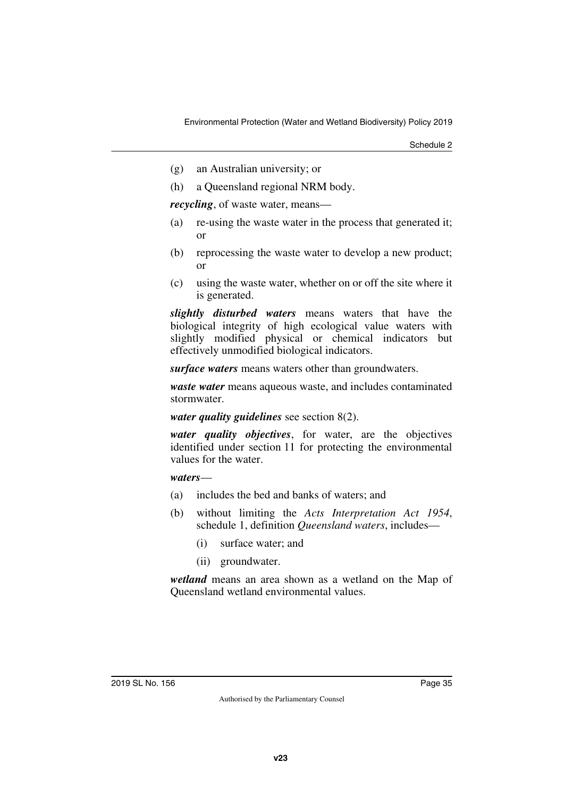- (g) an Australian university; or
- (h) a Queensland regional NRM body.

*recycling*, of waste water, means—

- (a) re-using the waste water in the process that generated it; or
- (b) reprocessing the waste water to develop a new product; or
- (c) using the waste water, whether on or off the site where it is generated.

*slightly disturbed waters* means waters that have the biological integrity of high ecological value waters with slightly modified physical or chemical indicators but effectively unmodified biological indicators.

*surface waters* means waters other than groundwaters.

*waste water* means aqueous waste, and includes contaminated stormwater.

*water quality guidelines* see section 8(2).

*water quality objectives*, for water, are the objectives identified under section 11 for protecting the environmental values for the water.

#### *waters*—

- (a) includes the bed and banks of waters; and
- (b) without limiting the *Acts Interpretation Act 1954*, schedule 1, definition *Queensland waters*, includes—
	- (i) surface water; and
	- (ii) groundwater.

*wetland* means an area shown as a wetland on the Map of Queensland wetland environmental values.